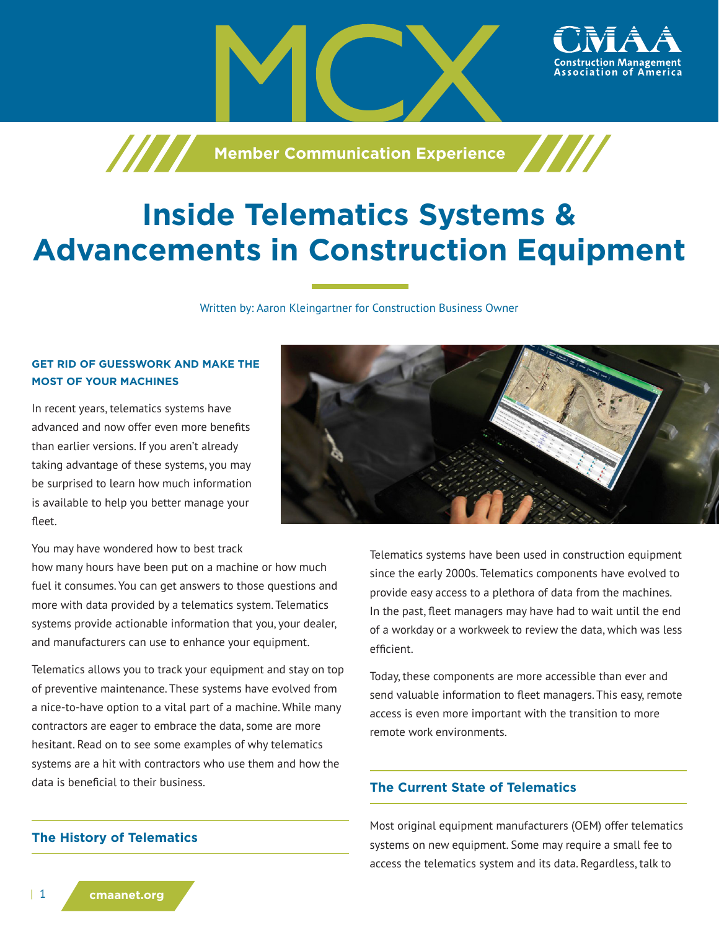

# **Inside Telematics Systems & Advancements in Construction Equipment**

Written by: Aaron Kleingartner for Construction Business Owner

## **GET RID OF GUESSWORK AND MAKE THE MOST OF YOUR MACHINES**

In recent years, telematics systems have advanced and now offer even more benefits than earlier versions. If you aren't already taking advantage of these systems, you may be surprised to learn how much information is available to help you better manage your fleet.

You may have wondered how to best track

how many hours have been put on a machine or how much fuel it consumes. You can get answers to those questions and more with data provided by a telematics system. Telematics systems provide actionable information that you, your dealer, and manufacturers can use to enhance your equipment.

Telematics allows you to track your equipment and stay on top of preventive maintenance. These systems have evolved from a nice-to-have option to a vital part of a machine. While many contractors are eager to embrace the data, some are more hesitant. Read on to see some examples of why telematics systems are a hit with contractors who use them and how the data is beneficial to their business.

**The History of Telematics**



Telematics systems have been used in construction equipment since the early 2000s. Telematics components have evolved to provide easy access to a plethora of data from the machines. In the past, fleet managers may have had to wait until the end of a workday or a workweek to review the data, which was less efficient.

Today, these components are more accessible than ever and send valuable information to fleet managers. This easy, remote access is even more important with the transition to more remote work environments.

# **The Current State of Telematics**

Most original equipment manufacturers (OEM) offer telematics systems on new equipment. Some may require a small fee to access the telematics system and its data. Regardless, talk to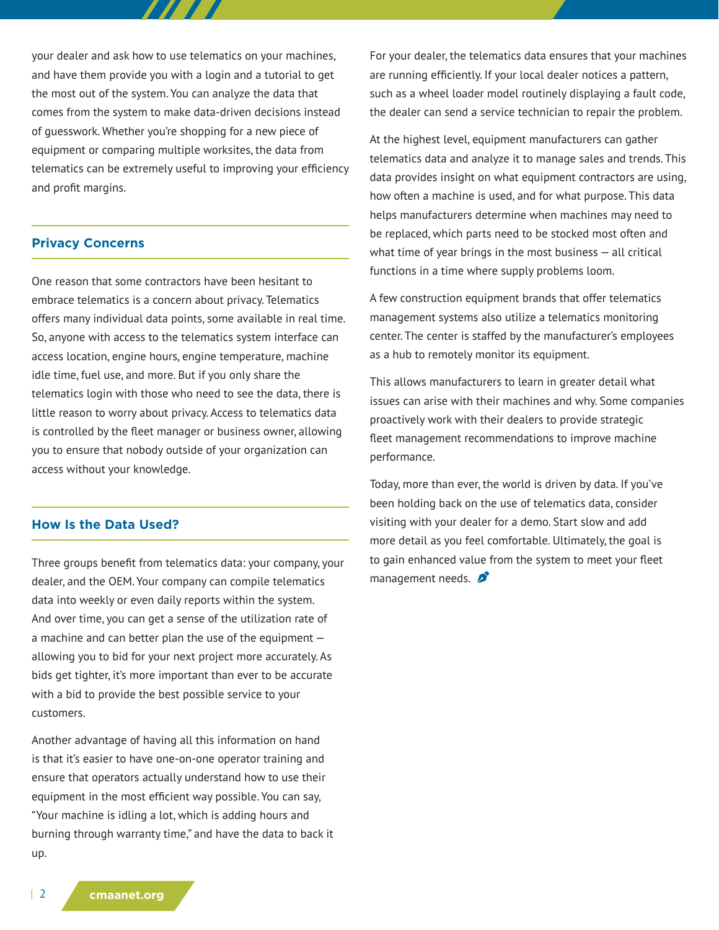your dealer and ask how to use telematics on your machines, and have them provide you with a login and a tutorial to get the most out of the system. You can analyze the data that comes from the system to make data-driven decisions instead of guesswork. Whether you're shopping for a new piece of equipment or comparing multiple worksites, the data from telematics can be extremely useful to improving your efficiency and profit margins.

### **Privacy Concerns**

One reason that some contractors have been hesitant to embrace telematics is a concern about privacy. Telematics offers many individual data points, some available in real time. So, anyone with access to the telematics system interface can access location, engine hours, engine temperature, machine idle time, fuel use, and more. But if you only share the telematics login with those who need to see the data, there is little reason to worry about privacy. Access to telematics data is controlled by the fleet manager or business owner, allowing you to ensure that nobody outside of your organization can access without your knowledge.

#### **How Is the Data Used?**

Three groups benefit from telematics data: your company, your dealer, and the OEM. Your company can compile telematics data into weekly or even daily reports within the system. And over time, you can get a sense of the utilization rate of a machine and can better plan the use of the equipment allowing you to bid for your next project more accurately. As bids get tighter, it's more important than ever to be accurate with a bid to provide the best possible service to your customers.

Another advantage of having all this information on hand is that it's easier to have one-on-one operator training and ensure that operators actually understand how to use their equipment in the most efficient way possible. You can say, "Your machine is idling a lot, which is adding hours and burning through warranty time," and have the data to back it up.

For your dealer, the telematics data ensures that your machines are running efficiently. If your local dealer notices a pattern, such as a wheel loader model routinely displaying a fault code, the dealer can send a service technician to repair the problem.

At the highest level, equipment manufacturers can gather telematics data and analyze it to manage sales and trends. This data provides insight on what equipment contractors are using, how often a machine is used, and for what purpose. This data helps manufacturers determine when machines may need to be replaced, which parts need to be stocked most often and what time of year brings in the most business — all critical functions in a time where supply problems loom.

A few construction equipment brands that offer telematics management systems also utilize a telematics monitoring center. The center is staffed by the manufacturer's employees as a hub to remotely monitor its equipment.

This allows manufacturers to learn in greater detail what issues can arise with their machines and why. Some companies proactively work with their dealers to provide strategic fleet management recommendations to improve machine performance.

Today, more than ever, the world is driven by data. If you've been holding back on the use of telematics data, consider visiting with your dealer for a demo. Start slow and add more detail as you feel comfortable. Ultimately, the goal is to gain enhanced value from the system to meet your fleet management needs.  $\mathcal{L}$ 

| 2 **cmaanet.org**